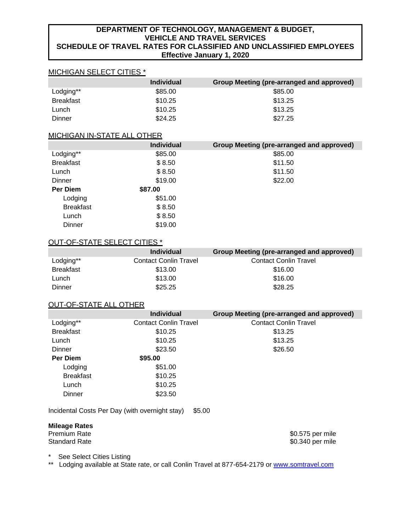# **DEPARTMENT OF TECHNOLOGY, MANAGEMENT & BUDGET, VEHICLE AND TRAVEL SERVICES SCHEDULE OF TRAVEL RATES FOR CLASSIFIED AND UNCLASSIFIED EMPLOYEES Effective January 1, 2020**

# MICHIGAN SELECT CITIES \*

|                  | <b>Individual</b> | Group Meeting (pre-arranged and approved) |
|------------------|-------------------|-------------------------------------------|
| Lodging**        | \$85.00           | \$85.00                                   |
| <b>Breakfast</b> | \$10.25           | \$13.25                                   |
| Lunch            | \$10.25           | \$13.25                                   |
| Dinner           | \$24.25           | \$27.25                                   |

### MICHIGAN IN-STATE ALL OTHER

|                  | <b>Individual</b> | Group Meeting (pre-arranged and approved) |
|------------------|-------------------|-------------------------------------------|
| Lodging**        | \$85.00           | \$85.00                                   |
| <b>Breakfast</b> | \$8.50            | \$11.50                                   |
| Lunch            | \$8.50            | \$11.50                                   |
| <b>Dinner</b>    | \$19.00           | \$22.00                                   |
| Per Diem         | \$87.00           |                                           |
| Lodging          | \$51.00           |                                           |
| <b>Breakfast</b> | \$8.50            |                                           |
| Lunch            | \$8.50            |                                           |
| Dinner           | \$19.00           |                                           |

### OUT-OF-STATE SELECT CITIES \*

|                  | <b>Individual</b>            | Group Meeting (pre-arranged and approved) |
|------------------|------------------------------|-------------------------------------------|
| Lodging**        | <b>Contact Conlin Travel</b> | <b>Contact Conlin Travel</b>              |
| <b>Breakfast</b> | \$13.00                      | \$16.00                                   |
| Lunch            | \$13.00                      | \$16.00                                   |
| Dinner           | \$25.25                      | \$28.25                                   |

# OUT-OF-STATE ALL OTHER

|                  | <b>Individual</b>            | Group Meeting (pre-arranged and approved) |
|------------------|------------------------------|-------------------------------------------|
| Lodging**        | <b>Contact Conlin Travel</b> | <b>Contact Conlin Travel</b>              |
| <b>Breakfast</b> | \$10.25                      | \$13.25                                   |
| Lunch            | \$10.25                      | \$13.25                                   |
| Dinner           | \$23.50                      | \$26.50                                   |
| Per Diem         | \$95.00                      |                                           |
| Lodging          | \$51.00                      |                                           |
| <b>Breakfast</b> | \$10.25                      |                                           |
| Lunch            | \$10.25                      |                                           |
| Dinner           | \$23.50                      |                                           |

Incidental Costs Per Day (with overnight stay) \$5.00

# **Mileage Rates**

Premium Rate \$0.575 per mile<br>Standard Rate \$0.575 per mile \$0.575 per mile \$0.340 per mile

\* See Select Cities Listing<br>\*\* I odging available at Stat

Lodging available at State rate, or call Conlin Travel at 877-654-2179 or [www.somtravel.com](http://www.somtravel.com/)